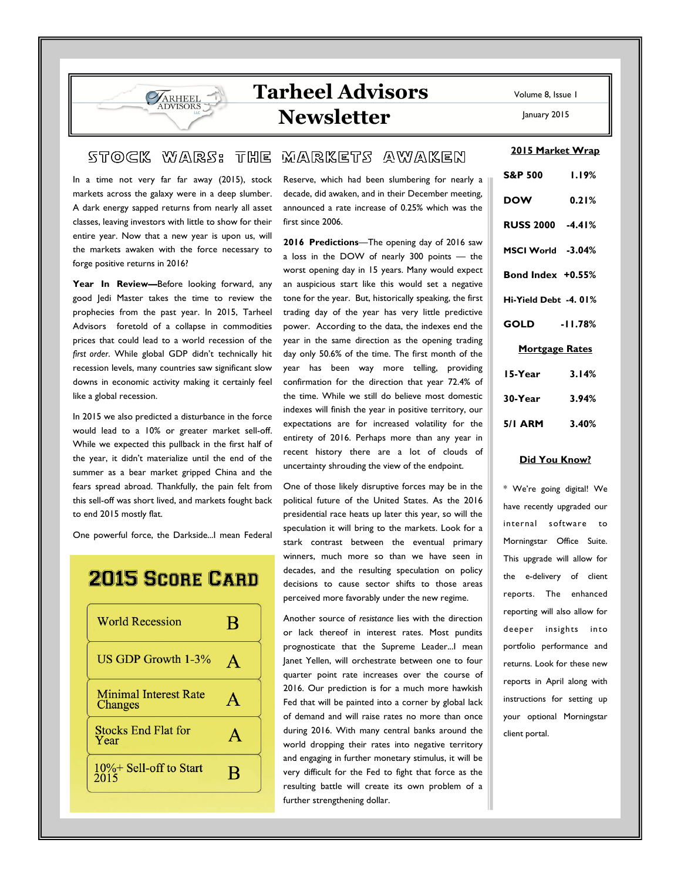# Tarheel Advisors Newsletter

#### Volume 8, Issue 1

January 2015

2015 Market Wrap

### $\mathfrak{so} \times \mathbb{C}$  w ars: the markets awaken

In a time not very far far away (2015), stock markets across the galaxy were in a deep slumber. A dark energy sapped returns from nearly all asset classes, leaving investors with little to show for their entire year. Now that a new year is upon us, will the markets awaken with the force necessary to forge positive returns in 2016?

**VARHEEL DVISORS** 

Year In Review-Before looking forward, any good Jedi Master takes the time to review the prophecies from the past year. In 2015, Tarheel Advisors foretold of a collapse in commodities prices that could lead to a world recession of the first order. While global GDP didn't technically hit recession levels, many countries saw significant slow downs in economic activity making it certainly feel like a global recession.

In 2015 we also predicted a disturbance in the force would lead to a 10% or greater market sell-off. While we expected this pullback in the first half of the year, it didn't materialize until the end of the summer as a bear market gripped China and the fears spread abroad. Thankfully, the pain felt from this sell-off was short lived, and markets fought back to end 2015 mostly flat.

One powerful force, the Darkside...I mean Federal

## **2015 SCORE CARD**



Reserve, which had been slumbering for nearly a decade, did awaken, and in their December meeting, announced a rate increase of 0.25% which was the first since 2006.

2016 Predictions—The opening day of 2016 saw a loss in the DOW of nearly 300 points — the worst opening day in 15 years. Many would expect an auspicious start like this would set a negative tone for the year. But, historically speaking, the first trading day of the year has very little predictive power. According to the data, the indexes end the year in the same direction as the opening trading day only 50.6% of the time. The first month of the year has been way more telling, providing confirmation for the direction that year 72.4% of the time. While we still do believe most domestic indexes will finish the year in positive territory, our expectations are for increased volatility for the entirety of 2016. Perhaps more than any year in recent history there are a lot of clouds of uncertainty shrouding the view of the endpoint.

One of those likely disruptive forces may be in the political future of the United States. As the 2016 presidential race heats up later this year, so will the speculation it will bring to the markets. Look for a stark contrast between the eventual primary winners, much more so than we have seen in decades, and the resulting speculation on policy decisions to cause sector shifts to those areas perceived more favorably under the new regime.

Another source of resistance lies with the direction or lack thereof in interest rates. Most pundits prognosticate that the Supreme Leader...I mean Janet Yellen, will orchestrate between one to four quarter point rate increases over the course of 2016. Our prediction is for a much more hawkish Fed that will be painted into a corner by global lack of demand and will raise rates no more than once during 2016. With many central banks around the world dropping their rates into negative territory and engaging in further monetary stimulus, it will be very difficult for the Fed to fight that force as the resulting battle will create its own problem of a further strengthening dollar.

| <b>S&amp;P 500</b>    | 1.19% |
|-----------------------|-------|
| <b>DOW</b>            | 0.21% |
| RUSS 2000 -4.41%      |       |
| MSCI World -3.04%     |       |
| Bond Index +0.55%     |       |
| Hi-Yield Debt -4.01%  |       |
| GOLD -11.78%          |       |
| <b>Mortgage Rates</b> |       |
| 15-Year               | 3.14% |
| $30 - Year$ $3.94%$   |       |
| 5/1 ARM 3.40%         |       |

#### Did You Know?

\* We're going digital! We have recently upgraded our internal software to Morningstar Office Suite. This upgrade will allow for the e-delivery of client reports. The enhanced reporting will also allow for deeper insights into portfolio performance and returns. Look for these new reports in April along with instructions for setting up your optional Morningstar client portal.